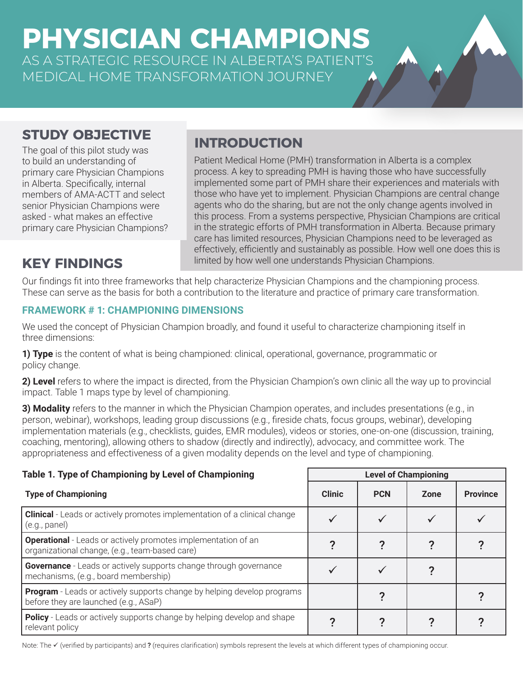**PHYSICIAN CHAMPIONS** AS A STRATEGIC RESOURCE IN ALBERTA'S PATIENT'S MEDICAL HOME TRANSFORMATION JOURNEY

# **STUDY OBJECTIVE**

The goal of this pilot study was to build an understanding of primary care Physician Champions in Alberta. Specifically, internal members of AMA-ACTT and select senior Physician Champions were asked - what makes an effective primary care Physician Champions?

#### Patient Medical Home (PMH) transformation in Alberta is a complex process. A key to spreading PMH is having those who have successfully implemented some part of PMH share their experiences and materials with those who have yet to implement. Physician Champions are central change agents who do the sharing, but are not the only change agents involved in this process. From a systems perspective, Physician Champions are critical

in the strategic efforts of PMH transformation in Alberta. Because primary care has limited resources, Physician Champions need to be leveraged as effectively, efficiently and sustainably as possible. How well one does this is **KEY FINDINGS** limited by how well one understands Physician Champions.

Our findings fit into three frameworks that help characterize Physician Champions and the championing process. These can serve as the basis for both a contribution to the literature and practice of primary care transformation.

**INTRODUCTION**

# **FRAMEWORK # 1: CHAMPIONING DIMENSIONS**

We used the concept of Physician Champion broadly, and found it useful to characterize championing itself in three dimensions:

**1) Type** is the content of what is being championed: clinical, operational, governance, programmatic or policy change.

**2) Level** refers to where the impact is directed, from the Physician Champion's own clinic all the way up to provincial impact. Table 1 maps type by level of championing.

**3) Modality** refers to the manner in which the Physician Champion operates, and includes presentations (e.g., in person, webinar), workshops, leading group discussions (e.g., fireside chats, focus groups, webinar), developing implementation materials (e.g., checklists, guides, EMR modules), videos or stories, one-on-one (discussion, training, coaching, mentoring), allowing others to shadow (directly and indirectly), advocacy, and committee work. The appropriateness and effectiveness of a given modality depends on the level and type of championing.

## **Table 1. Type of Championing by Level of Championing Level of Championing**

| <b>Type of Championing</b>                                                                                             | <b>Clinic</b> | <b>PCN</b> | Zone | <b>Province</b> |
|------------------------------------------------------------------------------------------------------------------------|---------------|------------|------|-----------------|
| <b>Clinical</b> - Leads or actively promotes implementation of a clinical change<br>(e.g., panel)                      |               |            |      |                 |
| <b>Operational</b> - Leads or actively promotes implementation of an<br>organizational change, (e.g., team-based care) |               |            |      |                 |
| <b>Governance</b> - Leads or actively supports change through governance<br>mechanisms, (e.g., board membership)       |               |            |      |                 |
| Program - Leads or actively supports change by helping develop programs<br>before they are launched (e.g., ASaP)       |               |            |      |                 |
| <b>Policy</b> - Leads or actively supports change by helping develop and shape<br>relevant policy                      |               |            |      |                 |

Note: The  $\checkmark$  (verified by participants) and ? (requires clarification) symbols represent the levels at which different types of championing occur.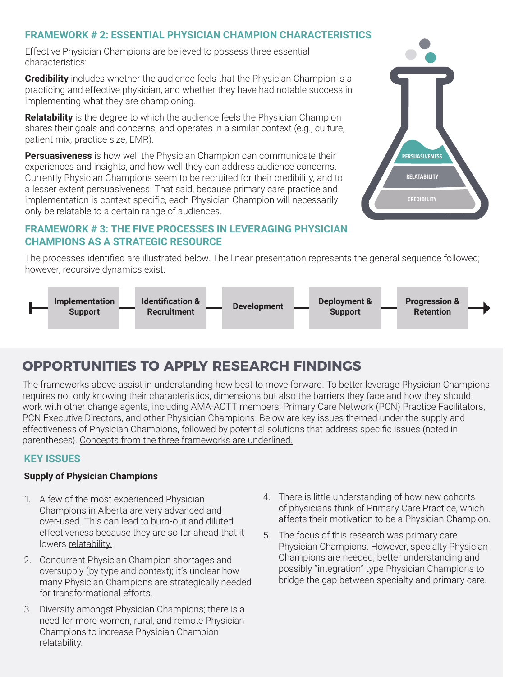# **FRAMEWORK # 2: ESSENTIAL PHYSICIAN CHAMPION CHARACTERISTICS**

Effective Physician Champions are believed to possess three essential characteristics:

**Credibility** includes whether the audience feels that the Physician Champion is a practicing and effective physician, and whether they have had notable success in implementing what they are championing.

**Relatability** is the degree to which the audience feels the Physician Champion shares their goals and concerns, and operates in a similar context (e.g., culture, patient mix, practice size, EMR).

**Persuasiveness** is how well the Physician Champion can communicate their experiences and insights, and how well they can address audience concerns. Currently Physician Champions seem to be recruited for their credibility, and to a lesser extent persuasiveness. That said, because primary care practice and implementation is context specific, each Physician Champion will necessarily only be relatable to a certain range of audiences.

# **FRAMEWORK # 3: THE FIVE PROCESSES IN LEVERAGING PHYSICIAN CHAMPIONS AS A STRATEGIC RESOURCE**

The processes identified are illustrated below. The linear presentation represents the general sequence followed; however, recursive dynamics exist.



# **OPPORTUNITIES TO APPLY RESEARCH FINDINGS**

The frameworks above assist in understanding how best to move forward. To better leverage Physician Champions requires not only knowing their characteristics, dimensions but also the barriers they face and how they should work with other change agents, including AMA-ACTT members, Primary Care Network (PCN) Practice Facilitators, PCN Executive Directors, and other Physician Champions. Below are key issues themed under the supply and effectiveness of Physician Champions, followed by potential solutions that address specific issues (noted in parentheses). Concepts from the three frameworks are underlined.

## **KEY ISSUES**

## **Supply of Physician Champions**

- 1. A few of the most experienced Physician Champions in Alberta are very advanced and over-used. This can lead to burn-out and diluted effectiveness because they are so far ahead that it lowers relatability.
- 2. Concurrent Physician Champion shortages and oversupply (by type and context); it's unclear how many Physician Champions are strategically needed for transformational efforts.
- 3. Diversity amongst Physician Champions; there is a need for more women, rural, and remote Physician Champions to increase Physician Champion relatability.
- 4. There is little understanding of how new cohorts of physicians think of Primary Care Practice, which affects their motivation to be a Physician Champion.
- 5. The focus of this research was primary care Physician Champions. However, specialty Physician Champions are needed; better understanding and possibly "integration" type Physician Champions to bridge the gap between specialty and primary care.